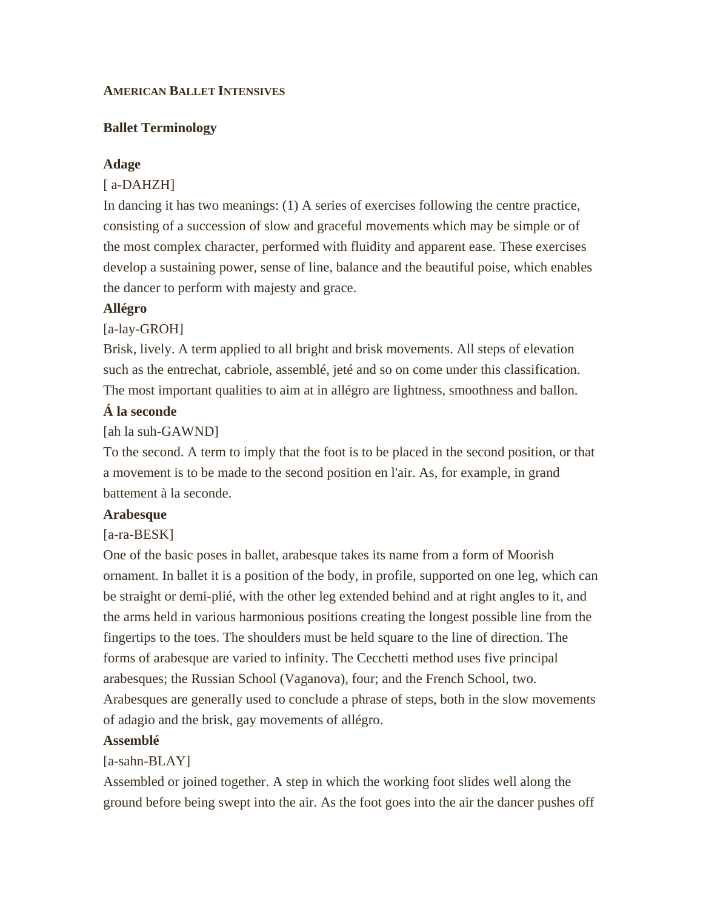#### **AMERICAN BALLET INTENSIVES**

#### **Ballet Terminology**

#### **Adage**

#### [ a-DAHZH]

In dancing it has two meanings: (1) A series of exercises following the centre practice, consisting of a succession of slow and graceful movements which may be simple or of the most complex character, performed with fluidity and apparent ease. These exercises develop a sustaining power, sense of line, balance and the beautiful poise, which enables the dancer to perform with majesty and grace.

### **Allégro**

#### [a-lay-GROH]

Brisk, lively. A term applied to all bright and brisk movements. All steps of elevation such as the entrechat, cabriole, assemblé, jeté and so on come under this classification. The most important qualities to aim at in allégro are lightness, smoothness and ballon.

### **Á la seconde**

[ah la suh-GAWND]

To the second. A term to imply that the foot is to be placed in the second position, or that a movement is to be made to the second position en l'air. As, for example, in grand battement à la seconde.

#### **Arabesque**

### [a-ra-BESK]

One of the basic poses in ballet, arabesque takes its name from a form of Moorish ornament. In ballet it is a position of the body, in profile, supported on one leg, which can be straight or demi-plié, with the other leg extended behind and at right angles to it, and the arms held in various harmonious positions creating the longest possible line from the fingertips to the toes. The shoulders must be held square to the line of direction. The forms of arabesque are varied to infinity. The Cecchetti method uses five principal arabesques; the Russian School (Vaganova), four; and the French School, two. Arabesques are generally used to conclude a phrase of steps, both in the slow movements of adagio and the brisk, gay movements of allégro.

#### **Assemblé**

#### [a-sahn-BLAY]

Assembled or joined together. A step in which the working foot slides well along the ground before being swept into the air. As the foot goes into the air the dancer pushes off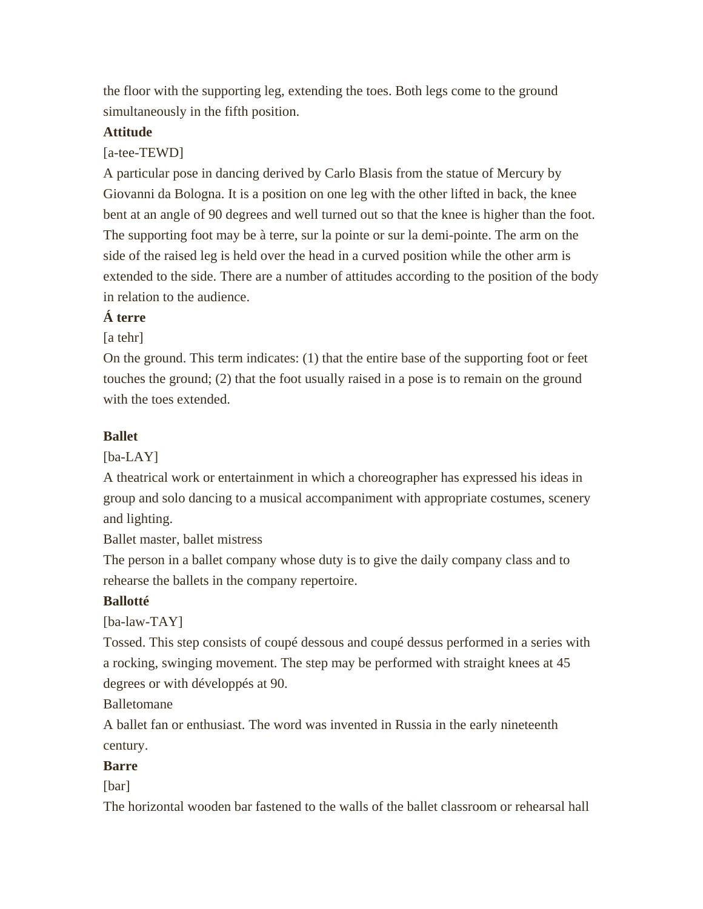the floor with the supporting leg, extending the toes. Both legs come to the ground simultaneously in the fifth position.

## **Attitude**

# [a-tee-TEWD]

A particular pose in dancing derived by Carlo Blasis from the statue of Mercury by Giovanni da Bologna. It is a position on one leg with the other lifted in back, the knee bent at an angle of 90 degrees and well turned out so that the knee is higher than the foot. The supporting foot may be à terre, sur la pointe or sur la demi-pointe. The arm on the side of the raised leg is held over the head in a curved position while the other arm is extended to the side. There are a number of attitudes according to the position of the body in relation to the audience.

# **Á terre**

# [a tehr]

On the ground. This term indicates: (1) that the entire base of the supporting foot or feet touches the ground; (2) that the foot usually raised in a pose is to remain on the ground with the toes extended.

# **Ballet**

[ba-LAY]

A theatrical work or entertainment in which a choreographer has expressed his ideas in group and solo dancing to a musical accompaniment with appropriate costumes, scenery and lighting.

Ballet master, ballet mistress

The person in a ballet company whose duty is to give the daily company class and to rehearse the ballets in the company repertoire.

# **Ballotté**

[ba-law-TAY]

Tossed. This step consists of coupé dessous and coupé dessus performed in a series with a rocking, swinging movement. The step may be performed with straight knees at 45 degrees or with développés at 90.

**Balletomane** 

A ballet fan or enthusiast. The word was invented in Russia in the early nineteenth century.

# **Barre**

[bar]

The horizontal wooden bar fastened to the walls of the ballet classroom or rehearsal hall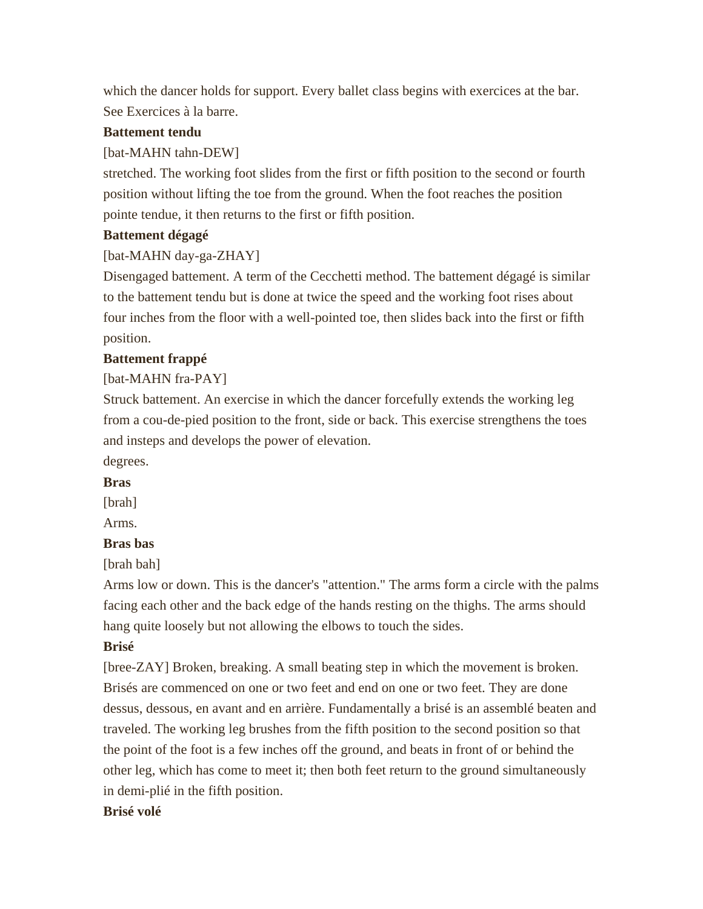which the dancer holds for support. Every ballet class begins with exercices at the bar. See Exercices à la barre.

### **Battement tendu**

# [bat-MAHN tahn-DEW]

stretched. The working foot slides from the first or fifth position to the second or fourth position without lifting the toe from the ground. When the foot reaches the position pointe tendue, it then returns to the first or fifth position.

# **Battement dégagé**

# [bat-MAHN day-ga-ZHAY]

Disengaged battement. A term of the Cecchetti method. The battement dégagé is similar to the battement tendu but is done at twice the speed and the working foot rises about four inches from the floor with a well-pointed toe, then slides back into the first or fifth position.

# **Battement frappé**

# [bat-MAHN fra-PAY]

Struck battement. An exercise in which the dancer forcefully extends the working leg from a cou-de-pied position to the front, side or back. This exercise strengthens the toes and insteps and develops the power of elevation.

degrees.

### **Bras**

[brah]

Arms.

### **Bras bas**

[brah bah]

Arms low or down. This is the dancer's "attention." The arms form a circle with the palms facing each other and the back edge of the hands resting on the thighs. The arms should hang quite loosely but not allowing the elbows to touch the sides.

### **Brisé**

[bree-ZAY] Broken, breaking. A small beating step in which the movement is broken. Brisés are commenced on one or two feet and end on one or two feet. They are done dessus, dessous, en avant and en arrière. Fundamentally a brisé is an assemblé beaten and traveled. The working leg brushes from the fifth position to the second position so that the point of the foot is a few inches off the ground, and beats in front of or behind the other leg, which has come to meet it; then both feet return to the ground simultaneously in demi-plié in the fifth position.

### **Brisé volé**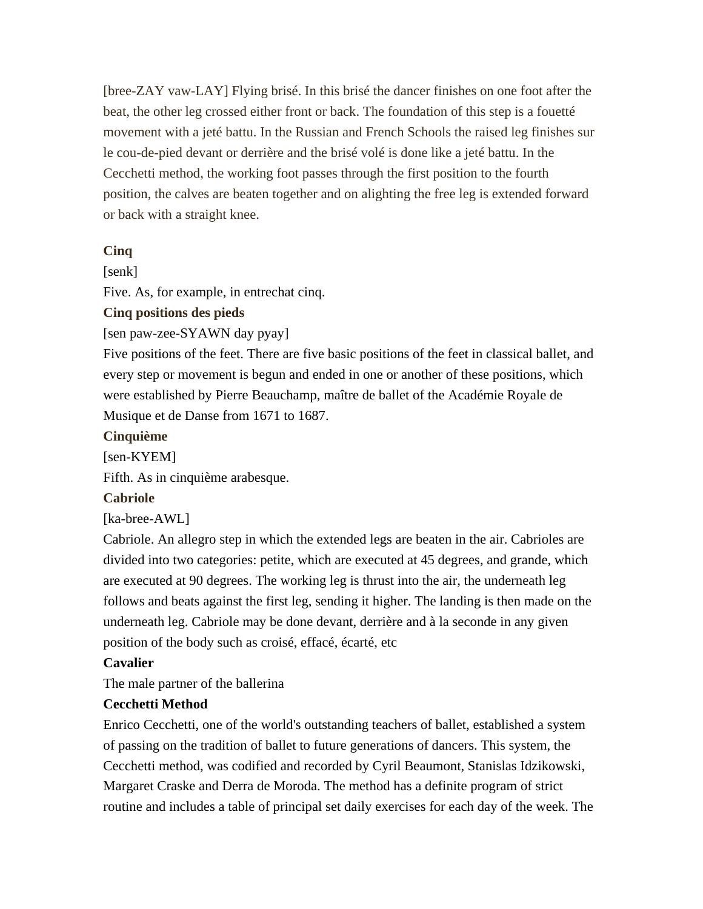[bree-ZAY vaw-LAY] Flying brisé. In this brisé the dancer finishes on one foot after the beat, the other leg crossed either front or back. The foundation of this step is a fouetté movement with a jeté battu. In the Russian and French Schools the raised leg finishes sur le cou-de-pied devant or derrière and the brisé volé is done like a jeté battu. In the Cecchetti method, the working foot passes through the first position to the fourth position, the calves are beaten together and on alighting the free leg is extended forward or back with a straight knee.

#### **Cinq**

[senk]

Five. As, for example, in entrechat cinq.

#### **Cinq positions des pieds**

[sen paw-zee-SYAWN day pyay]

Five positions of the feet. There are five basic positions of the feet in classical ballet, and every step or movement is begun and ended in one or another of these positions, which were established by Pierre Beauchamp, maître de ballet of the Académie Royale de Musique et de Danse from 1671 to 1687.

#### **Cinquième**

[sen-KYEM]

Fifth. As in cinquième arabesque.

#### **Cabriole**

[ka-bree-AWL]

Cabriole. An allegro step in which the extended legs are beaten in the air. Cabrioles are divided into two categories: petite, which are executed at 45 degrees, and grande, which are executed at 90 degrees. The working leg is thrust into the air, the underneath leg follows and beats against the first leg, sending it higher. The landing is then made on the underneath leg. Cabriole may be done devant, derrière and à la seconde in any given position of the body such as croisé, effacé, écarté, etc

#### **Cavalier**

The male partner of the ballerina

#### **Cecchetti Method**

Enrico Cecchetti, one of the world's outstanding teachers of ballet, established a system of passing on the tradition of ballet to future generations of dancers. This system, the Cecchetti method, was codified and recorded by Cyril Beaumont, Stanislas Idzikowski, Margaret Craske and Derra de Moroda. The method has a definite program of strict routine and includes a table of principal set daily exercises for each day of the week. The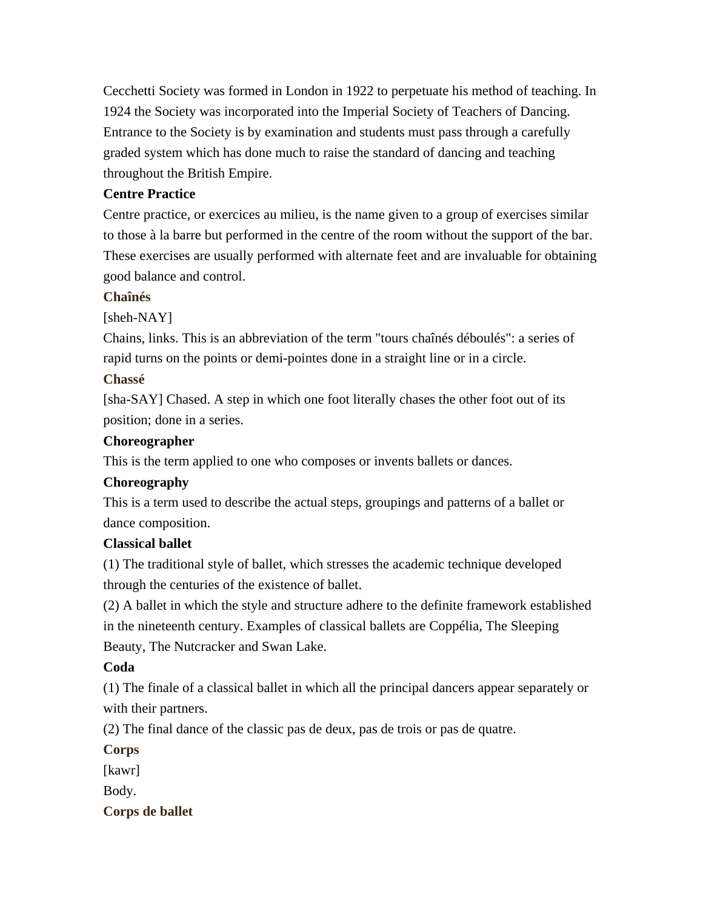Cecchetti Society was formed in London in 1922 to perpetuate his method of teaching. In 1924 the Society was incorporated into the Imperial Society of Teachers of Dancing. Entrance to the Society is by examination and students must pass through a carefully graded system which has done much to raise the standard of dancing and teaching throughout the British Empire.

## **Centre Practice**

Centre practice, or exercices au milieu, is the name given to a group of exercises similar to those à la barre but performed in the centre of the room without the support of the bar. These exercises are usually performed with alternate feet and are invaluable for obtaining good balance and control.

# **Chaînés**

[sheh-NAY]

Chains, links. This is an abbreviation of the term "tours chaînés déboulés": a series of rapid turns on the points or demi-pointes done in a straight line or in a circle.

### **Chassé**

[sha-SAY] Chased. A step in which one foot literally chases the other foot out of its position; done in a series.

# **Choreographer**

This is the term applied to one who composes or invents ballets or dances.

### **Choreography**

This is a term used to describe the actual steps, groupings and patterns of a ballet or dance composition.

# **Classical ballet**

(1) The traditional style of ballet, which stresses the academic technique developed through the centuries of the existence of ballet.

(2) A ballet in which the style and structure adhere to the definite framework established in the nineteenth century. Examples of classical ballets are Coppélia, The Sleeping Beauty, The Nutcracker and Swan Lake.

# **Coda**

(1) The finale of a classical ballet in which all the principal dancers appear separately or with their partners.

(2) The final dance of the classic pas de deux, pas de trois or pas de quatre.

**Corps** 

[kawr]

Body.

**Corps de ballet**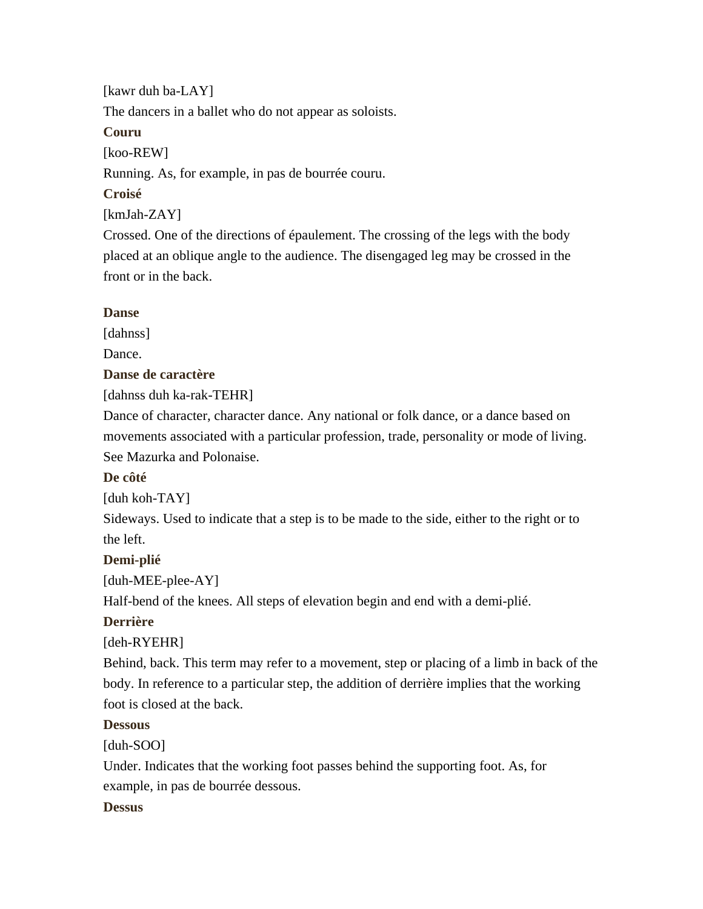[kawr duh ba-LAY] The dancers in a ballet who do not appear as soloists. **Couru** [koo-REW] Running. As, for example, in pas de bourrée couru. **Croisé** [kmJah-ZAY] Crossed. One of the directions of épaulement. The crossing of the legs with the body

placed at an oblique angle to the audience. The disengaged leg may be crossed in the front or in the back.

#### **Danse**

[dahnss]

Dance.

#### **Danse de caractère**

[dahnss duh ka-rak-TEHR]

Dance of character, character dance. Any national or folk dance, or a dance based on movements associated with a particular profession, trade, personality or mode of living. See Mazurka and Polonaise.

#### **De côté**

[duh koh-TAY]

Sideways. Used to indicate that a step is to be made to the side, either to the right or to the left.

### **Demi-plié**

[duh-MEE-plee-AY]

Half-bend of the knees. All steps of elevation begin and end with a demi-plié.

# **Derrière**

[deh-RYEHR]

Behind, back. This term may refer to a movement, step or placing of a limb in back of the body. In reference to a particular step, the addition of derrière implies that the working foot is closed at the back.

### **Dessous**

[duh-SOO]

Under. Indicates that the working foot passes behind the supporting foot. As, for example, in pas de bourrée dessous.

### **Dessus**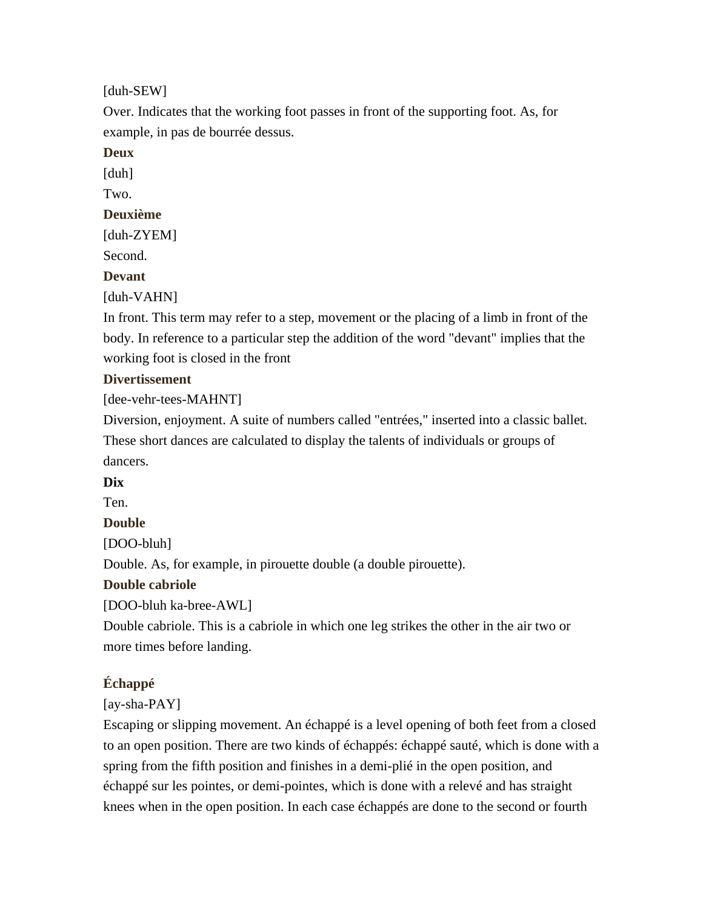#### [duh-SEW]

Over. Indicates that the working foot passes in front of the supporting foot. As, for example, in pas de bourrée dessus.

## **Deux**

[duh]

Two.

#### **Deuxième**

[duh-ZYEM]

Second.

### **Devant**

[duh-VAHN]

In front. This term may refer to a step, movement or the placing of a limb in front of the body. In reference to a particular step the addition of the word "devant" implies that the working foot is closed in the front

### **Divertissement**

[dee-vehr-tees-MAHNT]

Diversion, enjoyment. A suite of numbers called "entrées," inserted into a classic ballet. These short dances are calculated to display the talents of individuals or groups of dancers.

### **Dix**

Ten.

### **Double**

[DOO-bluh]

Double. As, for example, in pirouette double (a double pirouette).

### **Double cabriole**

[DOO-bluh ka-bree-AWL]

Double cabriole. This is a cabriole in which one leg strikes the other in the air two or more times before landing.

# **Échappé**

[ay-sha-PAY]

Escaping or slipping movement. An échappé is a level opening of both feet from a closed to an open position. There are two kinds of échappés: échappé sauté, which is done with a spring from the fifth position and finishes in a demi-plié in the open position, and échappé sur les pointes, or demi-pointes, which is done with a relevé and has straight knees when in the open position. In each case échappés are done to the second or fourth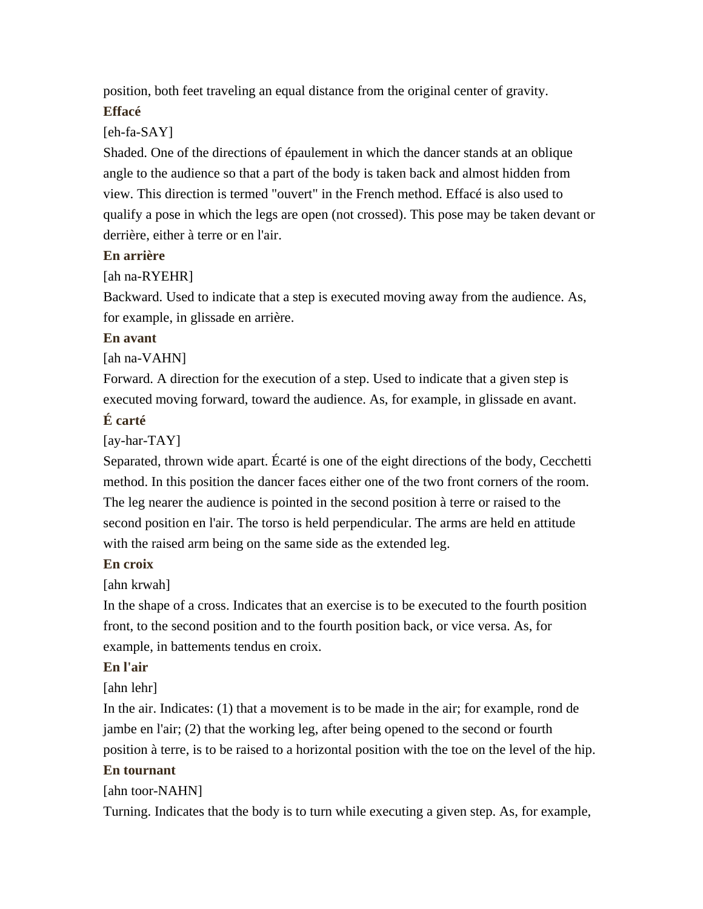position, both feet traveling an equal distance from the original center of gravity.

# **Effacé**

[eh-fa-SAY]

Shaded. One of the directions of épaulement in which the dancer stands at an oblique angle to the audience so that a part of the body is taken back and almost hidden from view. This direction is termed "ouvert" in the French method. Effacé is also used to qualify a pose in which the legs are open (not crossed). This pose may be taken devant or derrière, either à terre or en l'air.

# **En arrière**

[ah na-RYEHR]

Backward. Used to indicate that a step is executed moving away from the audience. As, for example, in glissade en arrière.

# **En avant**

[ah na-VAHN]

Forward. A direction for the execution of a step. Used to indicate that a given step is executed moving forward, toward the audience. As, for example, in glissade en avant.

# **É carté**

[ay-har-TAY]

Separated, thrown wide apart. Écarté is one of the eight directions of the body, Cecchetti method. In this position the dancer faces either one of the two front corners of the room. The leg nearer the audience is pointed in the second position à terre or raised to the second position en l'air. The torso is held perpendicular. The arms are held en attitude with the raised arm being on the same side as the extended leg.

# **En croix**

[ahn krwah]

In the shape of a cross. Indicates that an exercise is to be executed to the fourth position front, to the second position and to the fourth position back, or vice versa. As, for example, in battements tendus en croix.

# **En l'air**

[ahn lehr]

In the air. Indicates: (1) that a movement is to be made in the air; for example, rond de jambe en l'air; (2) that the working leg, after being opened to the second or fourth position à terre, is to be raised to a horizontal position with the toe on the level of the hip.

# **En tournant**

# [ahn toor-NAHN]

Turning. Indicates that the body is to turn while executing a given step. As, for example,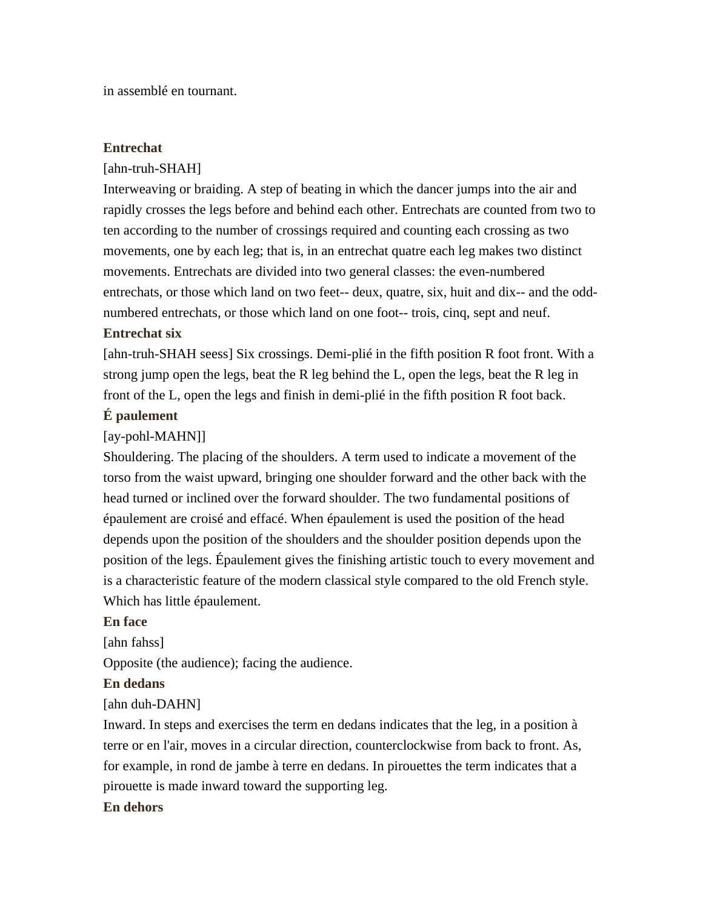in assemblé en tournant.

#### **Entrechat**

#### [ahn-truh-SHAH]

Interweaving or braiding. A step of beating in which the dancer jumps into the air and rapidly crosses the legs before and behind each other. Entrechats are counted from two to ten according to the number of crossings required and counting each crossing as two movements, one by each leg; that is, in an entrechat quatre each leg makes two distinct movements. Entrechats are divided into two general classes: the even-numbered entrechats, or those which land on two feet-- deux, quatre, six, huit and dix-- and the oddnumbered entrechats, or those which land on one foot-- trois, cinq, sept and neuf.

#### **Entrechat six**

[ahn-truh-SHAH seess] Six crossings. Demi-plié in the fifth position R foot front. With a strong jump open the legs, beat the R leg behind the L, open the legs, beat the R leg in front of the L, open the legs and finish in demi-plié in the fifth position R foot back.

#### **É paulement**

[ay-pohl-MAHN]]

Shouldering. The placing of the shoulders. A term used to indicate a movement of the torso from the waist upward, bringing one shoulder forward and the other back with the head turned or inclined over the forward shoulder. The two fundamental positions of épaulement are croisé and effacé. When épaulement is used the position of the head depends upon the position of the shoulders and the shoulder position depends upon the position of the legs. Épaulement gives the finishing artistic touch to every movement and is a characteristic feature of the modern classical style compared to the old French style. Which has little épaulement.

#### **En face**

[ahn fahss]

# Opposite (the audience); facing the audience.

#### **En dedans**

[ahn duh-DAHN]

Inward. In steps and exercises the term en dedans indicates that the leg, in a position à terre or en l'air, moves in a circular direction, counterclockwise from back to front. As, for example, in rond de jambe à terre en dedans. In pirouettes the term indicates that a pirouette is made inward toward the supporting leg.

#### **En dehors**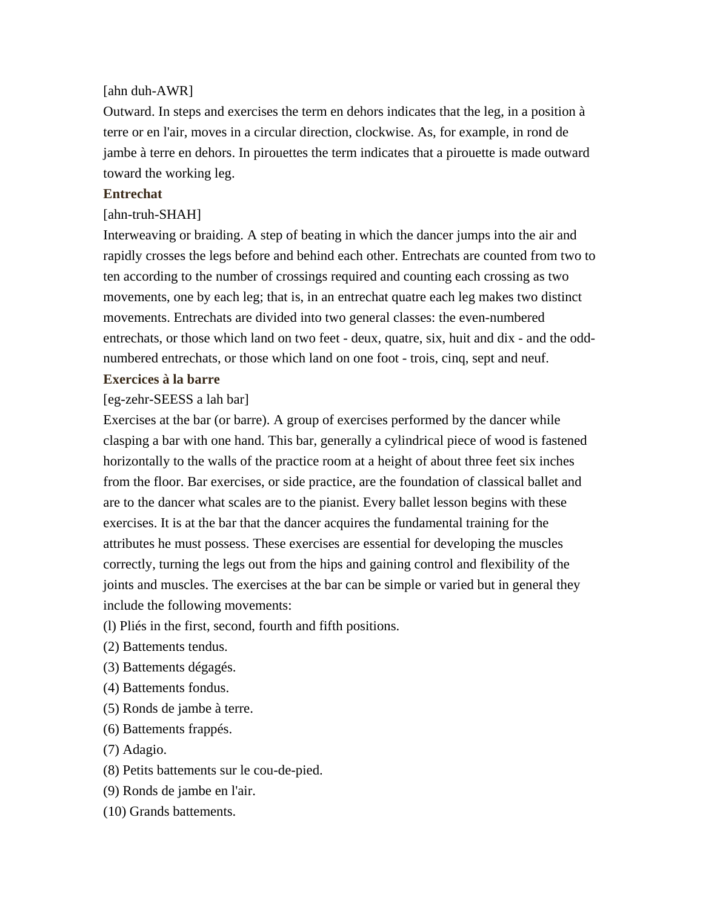#### [ahn duh-AWR]

Outward. In steps and exercises the term en dehors indicates that the leg, in a position à terre or en l'air, moves in a circular direction, clockwise. As, for example, in rond de jambe à terre en dehors. In pirouettes the term indicates that a pirouette is made outward toward the working leg.

#### **Entrechat**

#### [ahn-truh-SHAH]

Interweaving or braiding. A step of beating in which the dancer jumps into the air and rapidly crosses the legs before and behind each other. Entrechats are counted from two to ten according to the number of crossings required and counting each crossing as two movements, one by each leg; that is, in an entrechat quatre each leg makes two distinct movements. Entrechats are divided into two general classes: the even-numbered entrechats, or those which land on two feet - deux, quatre, six, huit and dix - and the oddnumbered entrechats, or those which land on one foot - trois, cinq, sept and neuf.

## **Exercices à la barre**

#### [eg-zehr-SEESS a lah bar]

Exercises at the bar (or barre). A group of exercises performed by the dancer while clasping a bar with one hand. This bar, generally a cylindrical piece of wood is fastened horizontally to the walls of the practice room at a height of about three feet six inches from the floor. Bar exercises, or side practice, are the foundation of classical ballet and are to the dancer what scales are to the pianist. Every ballet lesson begins with these exercises. It is at the bar that the dancer acquires the fundamental training for the attributes he must possess. These exercises are essential for developing the muscles correctly, turning the legs out from the hips and gaining control and flexibility of the joints and muscles. The exercises at the bar can be simple or varied but in general they include the following movements:

- (l) Pliés in the first, second, fourth and fifth positions.
- (2) Battements tendus.
- (3) Battements dégagés.
- (4) Battements fondus.
- (5) Ronds de jambe à terre.
- (6) Battements frappés.
- (7) Adagio.
- (8) Petits battements sur le cou-de-pied.
- (9) Ronds de jambe en l'air.
- (10) Grands battements.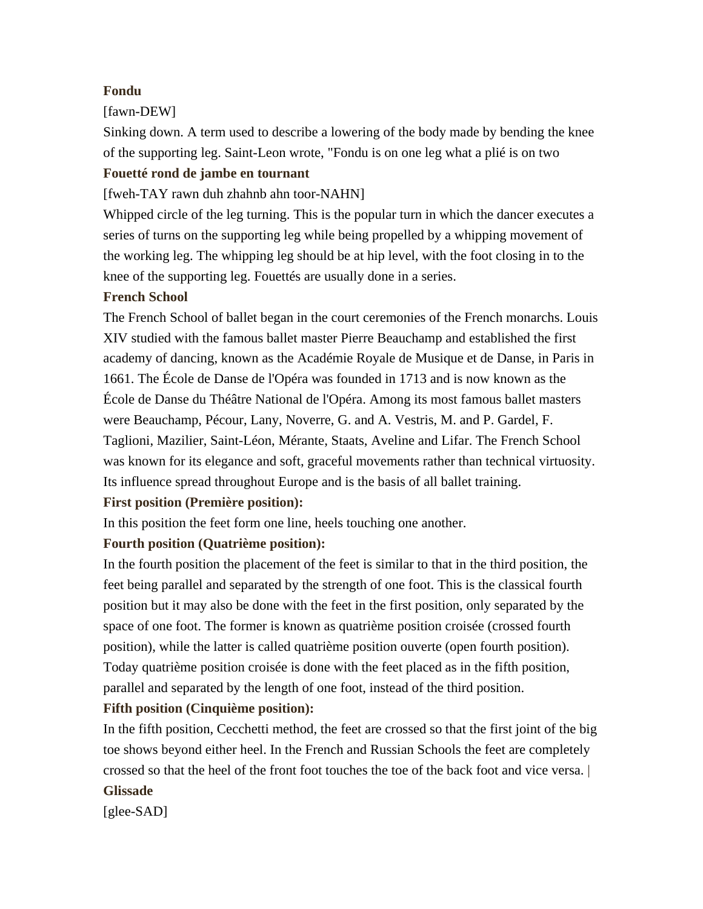#### **Fondu**

#### [fawn-DEW]

Sinking down. A term used to describe a lowering of the body made by bending the knee of the supporting leg. Saint-Leon wrote, "Fondu is on one leg what a plié is on two

#### **Fouetté rond de jambe en tournant**

[fweh-TAY rawn duh zhahnb ahn toor-NAHN]

Whipped circle of the leg turning. This is the popular turn in which the dancer executes a series of turns on the supporting leg while being propelled by a whipping movement of the working leg. The whipping leg should be at hip level, with the foot closing in to the knee of the supporting leg. Fouettés are usually done in a series.

#### **French School**

The French School of ballet began in the court ceremonies of the French monarchs. Louis XIV studied with the famous ballet master Pierre Beauchamp and established the first academy of dancing, known as the Académie Royale de Musique et de Danse, in Paris in 1661. The École de Danse de l'Opéra was founded in 1713 and is now known as the École de Danse du Théâtre National de l'Opéra. Among its most famous ballet masters were Beauchamp, Pécour, Lany, Noverre, G. and A. Vestris, M. and P. Gardel, F. Taglioni, Mazilier, Saint-Léon, Mérante, Staats, Aveline and Lifar. The French School was known for its elegance and soft, graceful movements rather than technical virtuosity. Its influence spread throughout Europe and is the basis of all ballet training.

#### **First position (Première position):**

In this position the feet form one line, heels touching one another.

#### **Fourth position (Quatrième position):**

In the fourth position the placement of the feet is similar to that in the third position, the feet being parallel and separated by the strength of one foot. This is the classical fourth position but it may also be done with the feet in the first position, only separated by the space of one foot. The former is known as quatrième position croisée (crossed fourth position), while the latter is called quatrième position ouverte (open fourth position). Today quatrième position croisée is done with the feet placed as in the fifth position, parallel and separated by the length of one foot, instead of the third position.

#### **Fifth position (Cinquième position):**

In the fifth position, Cecchetti method, the feet are crossed so that the first joint of the big toe shows beyond either heel. In the French and Russian Schools the feet are completely crossed so that the heel of the front foot touches the toe of the back foot and vice versa. |

# **Glissade**

[glee-SAD]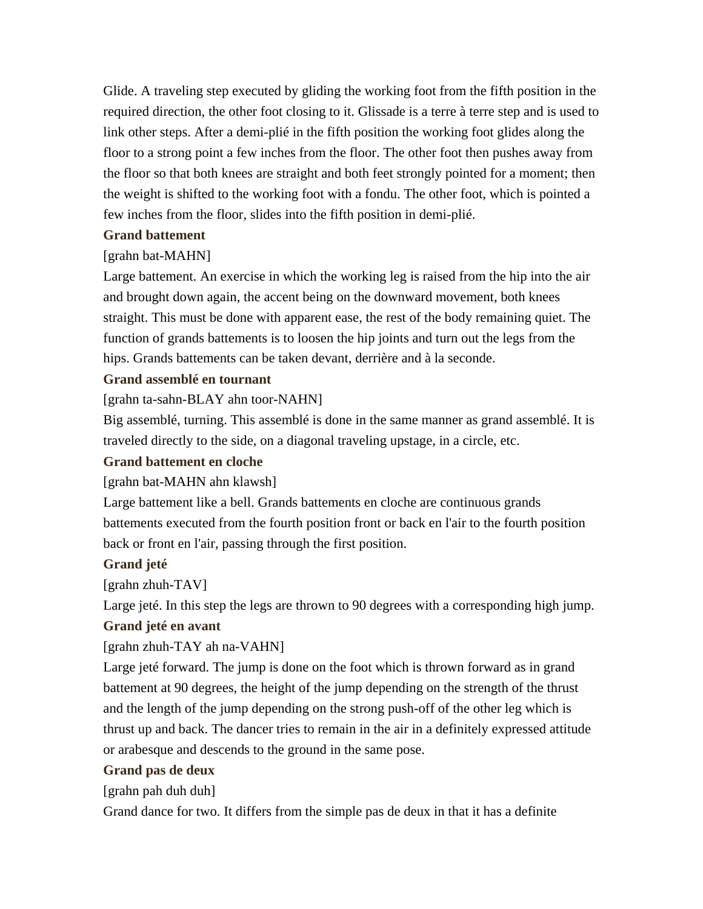Glide. A traveling step executed by gliding the working foot from the fifth position in the required direction, the other foot closing to it. Glissade is a terre à terre step and is used to link other steps. After a demi-plié in the fifth position the working foot glides along the floor to a strong point a few inches from the floor. The other foot then pushes away from the floor so that both knees are straight and both feet strongly pointed for a moment; then the weight is shifted to the working foot with a fondu. The other foot, which is pointed a few inches from the floor, slides into the fifth position in demi-plié.

#### **Grand battement**

### [grahn bat-MAHN]

Large battement. An exercise in which the working leg is raised from the hip into the air and brought down again, the accent being on the downward movement, both knees straight. This must be done with apparent ease, the rest of the body remaining quiet. The function of grands battements is to loosen the hip joints and turn out the legs from the hips. Grands battements can be taken devant, derrière and à la seconde.

#### **Grand assemblé en tournant**

#### [grahn ta-sahn-BLAY ahn toor-NAHN]

Big assemblé, turning. This assemblé is done in the same manner as grand assemblé. It is traveled directly to the side, on a diagonal traveling upstage, in a circle, etc.

#### **Grand battement en cloche**

[grahn bat-MAHN ahn klawsh]

Large battement like a bell. Grands battements en cloche are continuous grands battements executed from the fourth position front or back en l'air to the fourth position back or front en l'air, passing through the first position.

### **Grand jeté**

[grahn zhuh-TAV]

Large jeté. In this step the legs are thrown to 90 degrees with a corresponding high jump.

### **Grand jeté en avant**

[grahn zhuh-TAY ah na-VAHN]

Large jeté forward. The jump is done on the foot which is thrown forward as in grand battement at 90 degrees, the height of the jump depending on the strength of the thrust and the length of the jump depending on the strong push-off of the other leg which is thrust up and back. The dancer tries to remain in the air in a definitely expressed attitude or arabesque and descends to the ground in the same pose.

### **Grand pas de deux**

[grahn pah duh duh]

Grand dance for two. It differs from the simple pas de deux in that it has a definite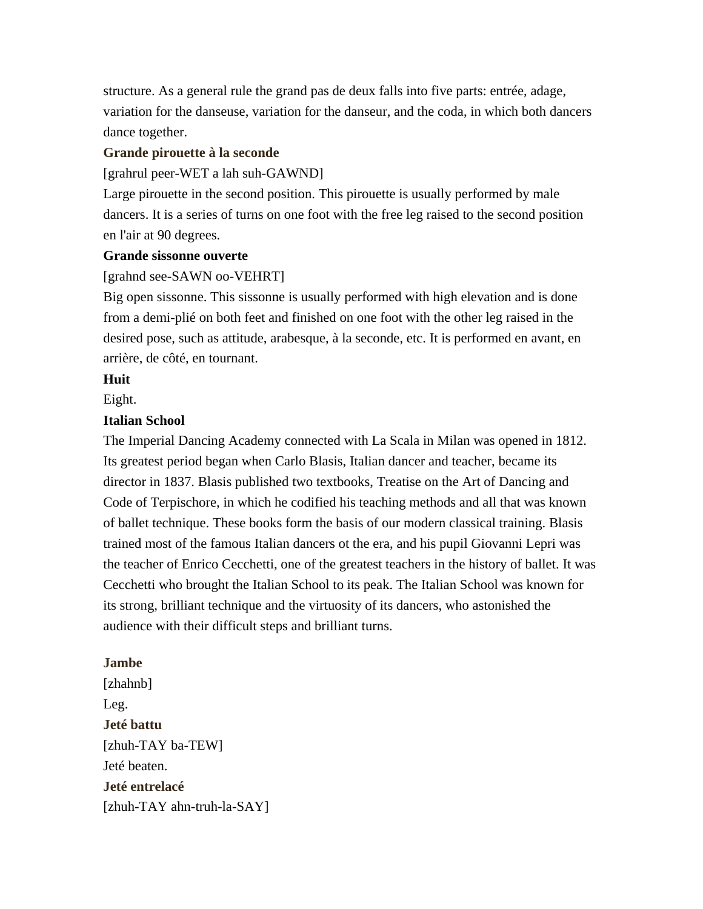structure. As a general rule the grand pas de deux falls into five parts: entrée, adage, variation for the danseuse, variation for the danseur, and the coda, in which both dancers dance together.

#### **Grande pirouette à la seconde**

[grahrul peer-WET a lah suh-GAWND]

Large pirouette in the second position. This pirouette is usually performed by male dancers. It is a series of turns on one foot with the free leg raised to the second position en l'air at 90 degrees.

#### **Grande sissonne ouverte**

#### [grahnd see-SAWN oo-VEHRT]

Big open sissonne. This sissonne is usually performed with high elevation and is done from a demi-plié on both feet and finished on one foot with the other leg raised in the desired pose, such as attitude, arabesque, à la seconde, etc. It is performed en avant, en arrière, de côté, en tournant.

#### **Huit**

Eight.

#### **Italian School**

The Imperial Dancing Academy connected with La Scala in Milan was opened in 1812. Its greatest period began when Carlo Blasis, Italian dancer and teacher, became its director in 1837. Blasis published two textbooks, Treatise on the Art of Dancing and Code of Terpischore, in which he codified his teaching methods and all that was known of ballet technique. These books form the basis of our modern classical training. Blasis trained most of the famous Italian dancers ot the era, and his pupil Giovanni Lepri was the teacher of Enrico Cecchetti, one of the greatest teachers in the history of ballet. It was Cecchetti who brought the Italian School to its peak. The Italian School was known for its strong, brilliant technique and the virtuosity of its dancers, who astonished the audience with their difficult steps and brilliant turns.

#### **Jambe**

[zhahnb] Leg. **Jeté battu** [zhuh-TAY ba-TEW] Jeté beaten. **Jeté entrelacé** [zhuh-TAY ahn-truh-la-SAY]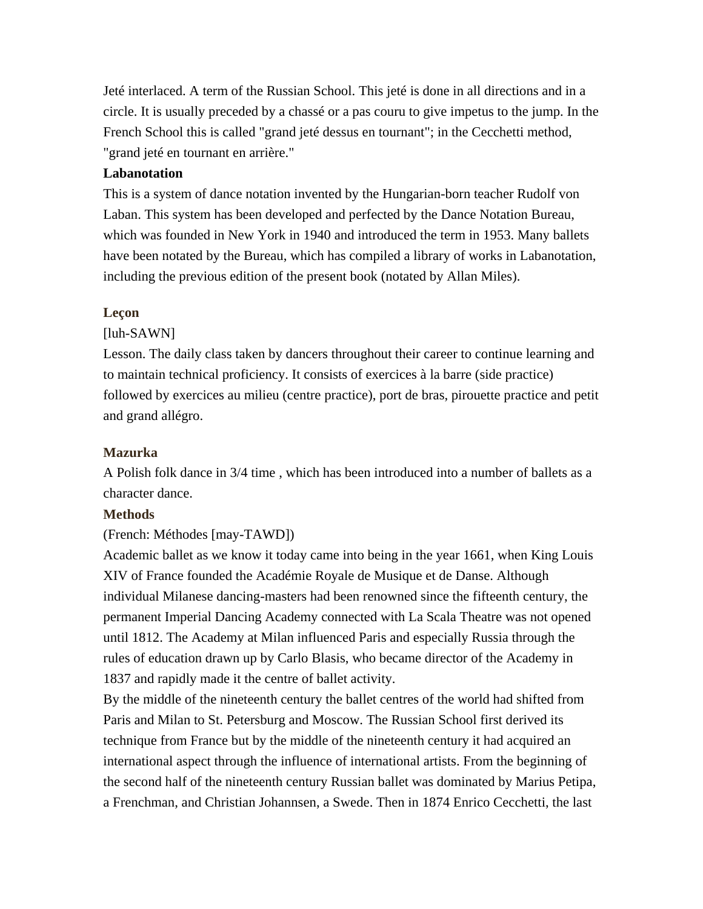Jeté interlaced. A term of the Russian School. This jeté is done in all directions and in a circle. It is usually preceded by a chassé or a pas couru to give impetus to the jump. In the French School this is called "grand jeté dessus en tournant"; in the Cecchetti method, "grand jeté en tournant en arrière."

#### **Labanotation**

This is a system of dance notation invented by the Hungarian-born teacher Rudolf von Laban. This system has been developed and perfected by the Dance Notation Bureau, which was founded in New York in 1940 and introduced the term in 1953. Many ballets have been notated by the Bureau, which has compiled a library of works in Labanotation, including the previous edition of the present book (notated by Allan Miles).

#### **Leçon**

#### [luh-SAWN]

Lesson. The daily class taken by dancers throughout their career to continue learning and to maintain technical proficiency. It consists of exercices à la barre (side practice) followed by exercices au milieu (centre practice), port de bras, pirouette practice and petit and grand allégro.

#### **Mazurka**

A Polish folk dance in 3/4 time , which has been introduced into a number of ballets as a character dance.

#### **Methods**

#### (French: Méthodes [may-TAWD])

Academic ballet as we know it today came into being in the year 1661, when King Louis XIV of France founded the Académie Royale de Musique et de Danse. Although individual Milanese dancing-masters had been renowned since the fifteenth century, the permanent Imperial Dancing Academy connected with La Scala Theatre was not opened until 1812. The Academy at Milan influenced Paris and especially Russia through the rules of education drawn up by Carlo Blasis, who became director of the Academy in 1837 and rapidly made it the centre of ballet activity.

By the middle of the nineteenth century the ballet centres of the world had shifted from Paris and Milan to St. Petersburg and Moscow. The Russian School first derived its technique from France but by the middle of the nineteenth century it had acquired an international aspect through the influence of international artists. From the beginning of the second half of the nineteenth century Russian ballet was dominated by Marius Petipa, a Frenchman, and Christian Johannsen, a Swede. Then in 1874 Enrico Cecchetti, the last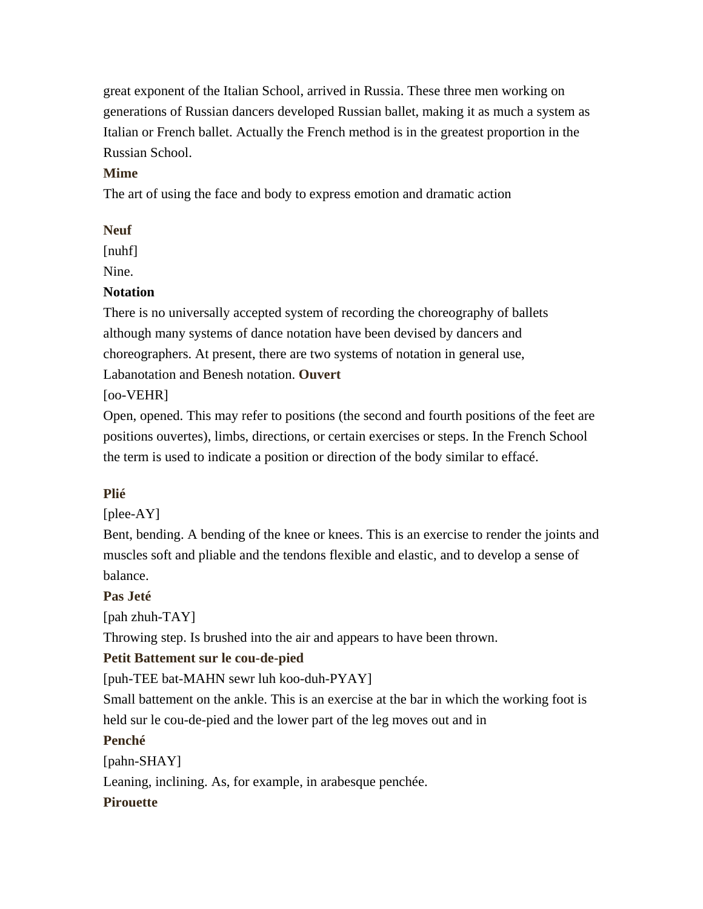great exponent of the Italian School, arrived in Russia. These three men working on generations of Russian dancers developed Russian ballet, making it as much a system as Italian or French ballet. Actually the French method is in the greatest proportion in the Russian School.

### **Mime**

The art of using the face and body to express emotion and dramatic action

# **Neuf**

[nuhf]

Nine.

# **Notation**

There is no universally accepted system of recording the choreography of ballets although many systems of dance notation have been devised by dancers and choreographers. At present, there are two systems of notation in general use, Labanotation and Benesh notation. **Ouvert**

[oo-VEHR]

Open, opened. This may refer to positions (the second and fourth positions of the feet are positions ouvertes), limbs, directions, or certain exercises or steps. In the French School the term is used to indicate a position or direction of the body similar to effacé.

# **Plié**

[plee-AY]

Bent, bending. A bending of the knee or knees. This is an exercise to render the joints and muscles soft and pliable and the tendons flexible and elastic, and to develop a sense of balance.

**Pas Jeté**

[pah zhuh-TAY]

Throwing step. Is brushed into the air and appears to have been thrown.

# **Petit Battement sur le cou-de-pied**

[puh-TEE bat-MAHN sewr luh koo-duh-PYAY]

Small battement on the ankle. This is an exercise at the bar in which the working foot is held sur le cou-de-pied and the lower part of the leg moves out and in

# **Penché**

[pahn-SHAY]

Leaning, inclining. As, for example, in arabesque penchée.

# **Pirouette**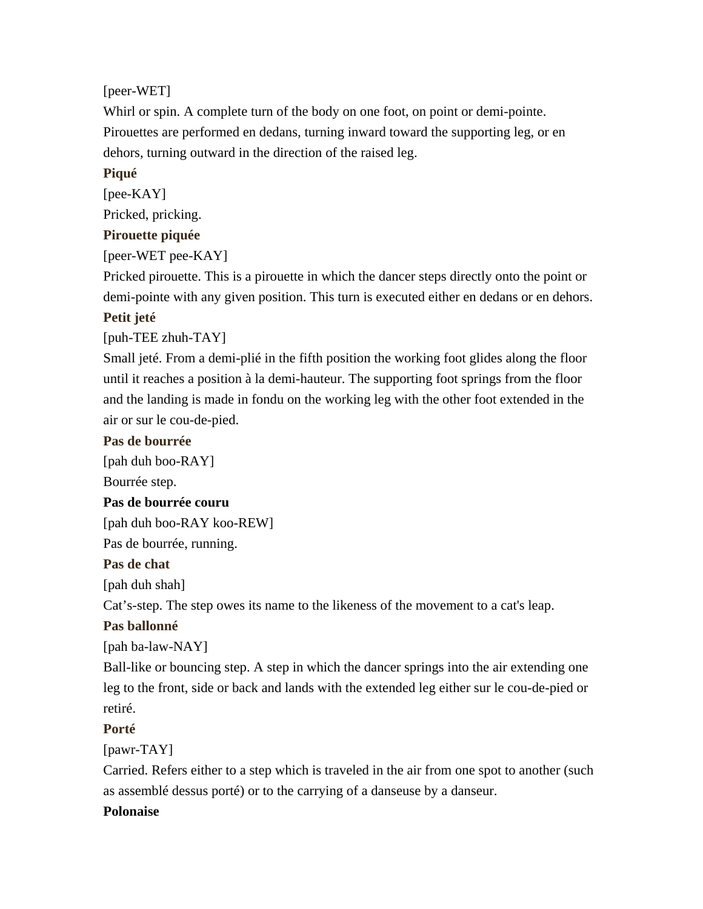### [peer-WET]

Whirl or spin. A complete turn of the body on one foot, on point or demi-pointe. Pirouettes are performed en dedans, turning inward toward the supporting leg, or en dehors, turning outward in the direction of the raised leg.

# **Piqué**

[pee-KAY]

Pricked, pricking.

# **Pirouette piquée**

[peer-WET pee-KAY]

Pricked pirouette. This is a pirouette in which the dancer steps directly onto the point or demi-pointe with any given position. This turn is executed either en dedans or en dehors.

# **Petit jeté**

[puh-TEE zhuh-TAY]

Small jeté. From a demi-plié in the fifth position the working foot glides along the floor until it reaches a position à la demi-hauteur. The supporting foot springs from the floor and the landing is made in fondu on the working leg with the other foot extended in the air or sur le cou-de-pied.

### **Pas de bourrée**

[pah duh boo-RAY]

Bourrée step.

### **Pas de bourrée couru**

[pah duh boo-RAY koo-REW]

Pas de bourrée, running.

### **Pas de chat**

[pah duh shah]

Cat's-step. The step owes its name to the likeness of the movement to a cat's leap.

### **Pas ballonné**

[pah ba-law-NAY]

Ball-like or bouncing step. A step in which the dancer springs into the air extending one leg to the front, side or back and lands with the extended leg either sur le cou-de-pied or retiré.

### **Porté**

[pawr-TAY]

Carried. Refers either to a step which is traveled in the air from one spot to another (such as assemblé dessus porté) or to the carrying of a danseuse by a danseur.

### **Polonaise**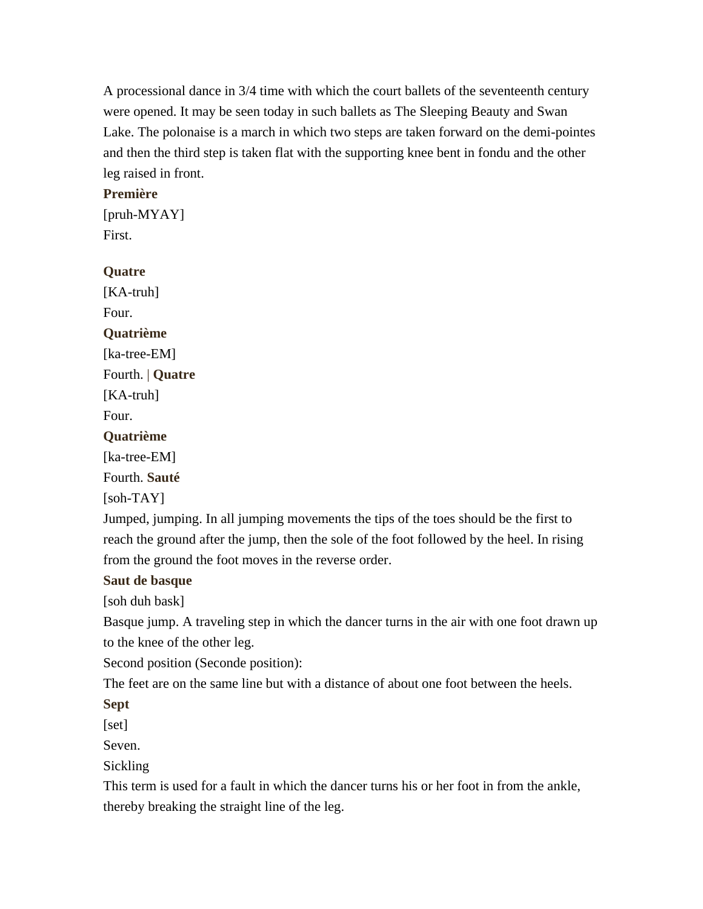A processional dance in 3/4 time with which the court ballets of the seventeenth century were opened. It may be seen today in such ballets as The Sleeping Beauty and Swan Lake. The polonaise is a march in which two steps are taken forward on the demi-pointes and then the third step is taken flat with the supporting knee bent in fondu and the other leg raised in front.

#### **Première**

[pruh-MYAY] First.

#### **Quatre**

[KA-truh] Four. **Quatrième** [ka-tree-EM] Fourth. | **Quatre** [KA-truh] Four. **Quatrième** [ka-tree-EM] Fourth. **Sauté**

[soh-TAY]

Jumped, jumping. In all jumping movements the tips of the toes should be the first to reach the ground after the jump, then the sole of the foot followed by the heel. In rising from the ground the foot moves in the reverse order.

### **Saut de basque**

[soh duh bask]

Basque jump. A traveling step in which the dancer turns in the air with one foot drawn up to the knee of the other leg.

Second position (Seconde position):

The feet are on the same line but with a distance of about one foot between the heels.

**Sept**

[set]

Seven.

Sickling

This term is used for a fault in which the dancer turns his or her foot in from the ankle, thereby breaking the straight line of the leg.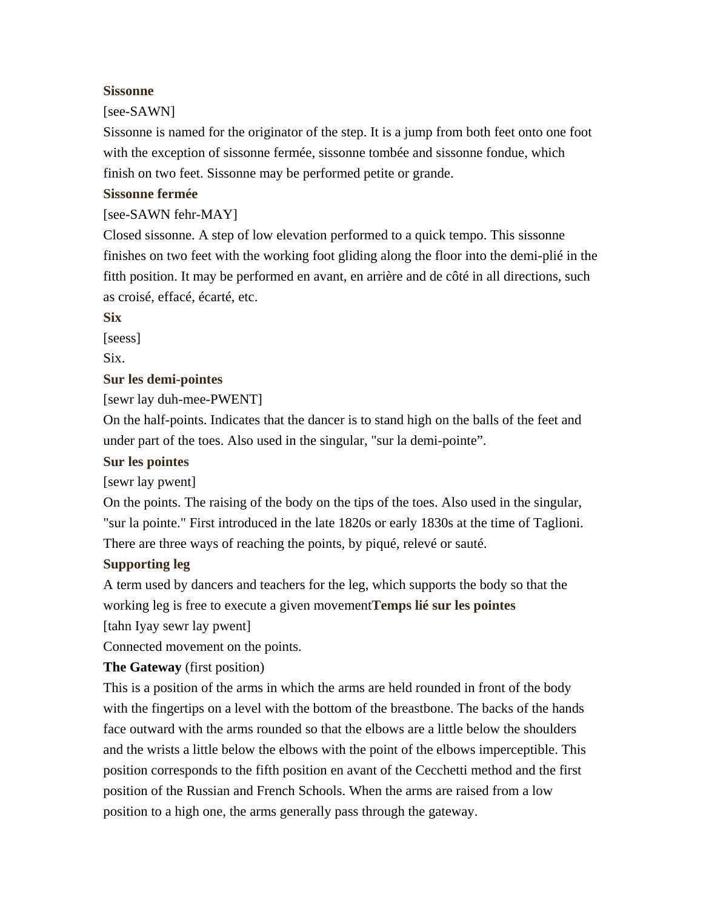#### **Sissonne**

#### [see-SAWN]

Sissonne is named for the originator of the step. It is a jump from both feet onto one foot with the exception of sissonne fermée, sissonne tombée and sissonne fondue, which finish on two feet. Sissonne may be performed petite or grande.

#### **Sissonne fermée**

#### [see-SAWN fehr-MAY]

Closed sissonne. A step of low elevation performed to a quick tempo. This sissonne finishes on two feet with the working foot gliding along the floor into the demi-plié in the fitth position. It may be performed en avant, en arrière and de côté in all directions, such as croisé, effacé, écarté, etc.

#### **Six**

[seess]

Six.

#### **Sur les demi-pointes**

[sewr lay duh-mee-PWENT]

On the half-points. Indicates that the dancer is to stand high on the balls of the feet and under part of the toes. Also used in the singular, "sur la demi-pointe".

#### **Sur les pointes**

[sewr lay pwent]

On the points. The raising of the body on the tips of the toes. Also used in the singular, "sur la pointe." First introduced in the late 1820s or early 1830s at the time of Taglioni. There are three ways of reaching the points, by piqué, relevé or sauté.

#### **Supporting leg**

A term used by dancers and teachers for the leg, which supports the body so that the working leg is free to execute a given movement**Temps lié sur les pointes**

[tahn Iyay sewr lay pwent]

Connected movement on the points.

**The Gateway** (first position)

This is a position of the arms in which the arms are held rounded in front of the body with the fingertips on a level with the bottom of the breastbone. The backs of the hands face outward with the arms rounded so that the elbows are a little below the shoulders and the wrists a little below the elbows with the point of the elbows imperceptible. This position corresponds to the fifth position en avant of the Cecchetti method and the first position of the Russian and French Schools. When the arms are raised from a low position to a high one, the arms generally pass through the gateway.